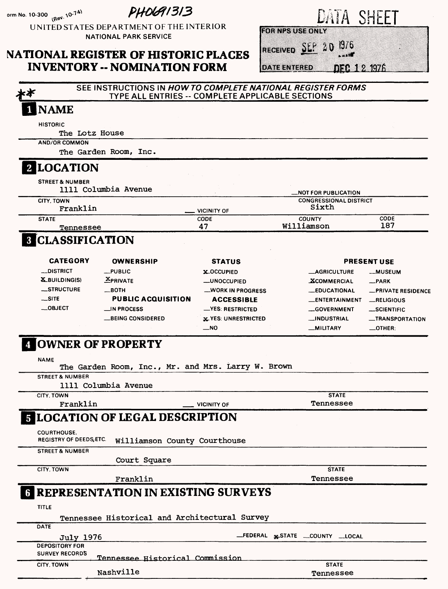orm No. 10-300 **(Rev. 10-74)** 

**PHOG91313** 

UNITED STATES DEPARTMENT OF THE INTERIOR NATIONAL PARK SERVICE

#### **NATIONAL REGISTER OF HISTORIC PLACES INVENTORY -- NOMINATION FORM**

| u<br>m. |  | а |
|---------|--|---|
|         |  |   |

**ROFFIZERUS RONAY** 

RECEIVED SEP 20 19/6

**DATE ENTERED** DER 1 2 1976

**SEE INSTRUCTIONS IN HOW TO COMPLETE NATIONAL REGISTER FORMS**  c¥ TYPE ALL ENTRIES -- COMPLETE APPLICABLE SECTIONS I NAME **HISTORIC** The Lotz House **AND/OR COMMON** The Garden Room, Inc. **2 LOCATION** STREET & NUMBER 1111 Columbia Avenue - Notifia de la columbia Avenue - Notifia de la columbia de la columbia de la columbia de **CITY. TOWN CONGRESSIONAL DISTRICT Sixth Franklin \_\_ VICINITY OF STATE CODE COUNTY CODE 47 Williamson 187 Tennessee CLASSIFICATION CATEGORY OWNERSHIP STATUS PRESENT USE —DISTRICT —PUBLIC X-OCCUPIED —AGRICULTURE —MUSEUM X.BUILDINGIS) EPRIVATE —UNOCCUPIED .^COMMERCIAL —PARK —STRUCTURE —BOTH** —WORK IN PROGRESS **—EDUCATIONAL —PRIVATE RESIDENCE PUBLIC ACQUISITION —SITE ACCESSIBLE —ENTERTAINMENT —RELIGIOUS —OBJECT \_IN PROCESS —YES: RESTRICTED —GOVERNMENT —SCIENTIFIC —BEING CONSIDERED X-YES: UNRESTRICTED —INDUSTRIAL —TRANSPORTATION —NO —MILITARY —OTHER: [OWNER OF PROPERTY NAME** The Garden Room, Inc., Mr. and Mrs. Larry W. Brown **STREET & NUMBER** 1111 Columbia Avenue **CITY. TOWN STATE** Tennessee Franklin and Control Control of **LOCATION OF LEGAL DESCRIPTION COURTHOUSE.** Williamson County Courthouse **STREET & NUMBER** Court Square **CITY. TOWN STATE** Franklin Tennessee **REPRESENTATION IN EXISTING SURVEYS TITLE** Tennessee Historical and Architectural Survey **DATE** July 1976 **—FEDERAL j^STATE \_\_COUNTY —LOCAL SURVEY RECORDS Tennessee Historical Commission CITY. TOWN STATE** Nashville Tennessee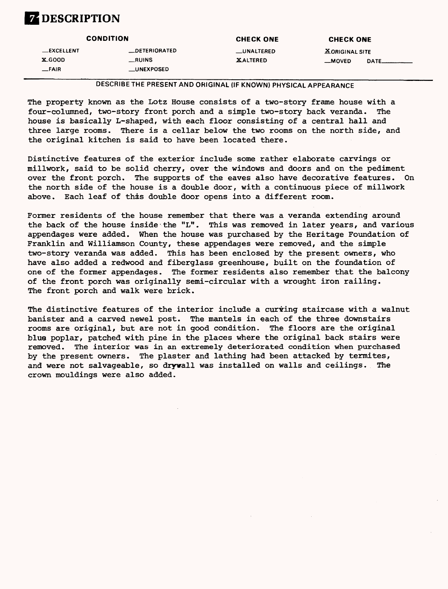### **ZDESCRIPTION**

|                                            | <b>CONDITION</b>                                      | <b>CHECK ONE</b>               | <b>CHECK ONE</b>                              |  |
|--------------------------------------------|-------------------------------------------------------|--------------------------------|-----------------------------------------------|--|
| <b>LEXCELLENT</b><br>$X$ -GOOD<br>$-$ FAIR | <b>_DETERIORATED</b><br>__RUINS<br><b>__UNEXPOSED</b> | __UNALTERED<br><b>XALTERED</b> | <b>XORIGINAL SITE</b><br><b>MOVED</b><br>DATE |  |

DESCRIBE THE PRESENT AND ORIGINAL (IF KNOWN) PHYSICAL APPEARANCE

The property known as the Lotz House consists of a two-story frame house with a four-columned, two-story front porch and a simple two-story back veranda. The house is basically L-shaped, with each floor consisting of a central hall and three large rooms. There is a cellar below the two rooms on the north side, and the original kitchen is said to have been located there.

Distinctive features of the exterior include some rather elaborate carvings or millwork, said to be solid cherry, over the windows and doors and on the pediment over the front porch. The supports of the eaves also have decorative features. On the north side of the house is a double door, with a continuous piece of millwork above. Each leaf of this double door opens into a different room.

Former residents of the house remember that there was a veranda extending around the back of the house inside the "L". This was removed in later years, and various appendages were added. When the house was purchased by the Heritage Foundation of Franklin and Williamson County, these appendages were removed, and the simple two-story veranda was added. This has been enclosed by the present owners, who have also added a redwood and fiberglass greenhouse, built on the foundation of one of the former appendages. The former residents also remember that the balcony of the front porch was originally semi-circular with a wrought iron railing. The front porch and walk were brick.

The distinctive features of the interior include a curring staircase with a walnut banister and a carved newel post. The mantels in each of the three downstairs rooms are original, but are not in good condition. The floors are the original blue poplar, patched with pine in the places where the original back stairs were removed. The interior was in an extremely deteriorated condition when purchased by the present owners. The plaster and lathing had been attacked by termites, and were not salvageable, so drywall was installed on walls and ceilings. The crown mouldings were also added.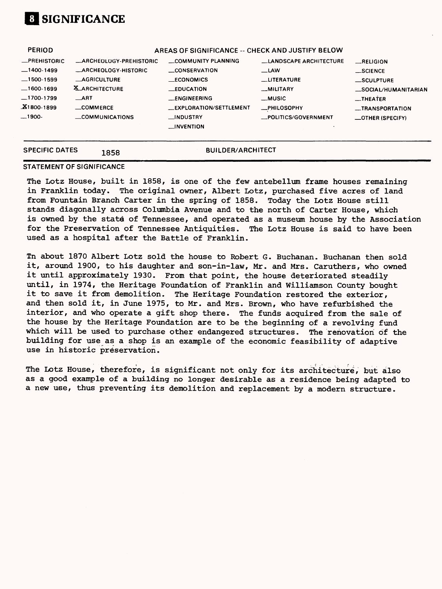## **01 SIGNIFICANCE**

| <b>PERIOD</b>         |                                | AREAS OF SIGNIFICANCE -- CHECK AND JUSTIFY BELOW |                               |                         |
|-----------------------|--------------------------------|--------------------------------------------------|-------------------------------|-------------------------|
| <b>_PREHISTORIC</b>   | <b>_ARCHEOLOGY-PREHISTORIC</b> | COMMUNITY PLANNING                               | <b>LANDSCAPE ARCHITECTURE</b> | RELIGION                |
| $-1400-1499$          | <b>ARCHEOLOGY-HISTORIC</b>     | <b>CONSERVATION</b>                              | $\equiv$ LAW                  | $\_$ SCIENCE            |
| $-1500 - 1599$        | <b>AGRICULTURE</b>             | <b>ECONOMICS</b>                                 | <b>LITERATURE</b>             | _SCULPTURE              |
| $-1600-1699$          | <b>X_ARCHITECTURE</b>          | <b>EDUCATION</b>                                 | <b>MILITARY</b>               | _SOCIAL/HUMANITARIAN    |
| $-1700-1799$          | $\Box$ ART                     | <b>LENGINEERING</b>                              | __MUSIC                       | $-$ THEATER             |
| $X1800-1899$          | _COMMERCE                      | <b>LEXPLORATION/SETTLEMENT</b>                   | -PHILOSOPHY                   | __TRANSPORTATION        |
| $-1900-$              | <b>COMMUNICATIONS</b>          | __INDUSTRY                                       | _POLITICS/GOVERNMENT          | <b>COTHER (SPECIFY)</b> |
|                       |                                | <b>INVENTION</b>                                 |                               |                         |
| <b>SPECIFIC DATES</b> | 1858                           | <b>BUILDER/ARCHITECT</b>                         |                               |                         |

#### **STATEMENT OF SIGNIFICANCE**

The Lotz House, built in 1858, is one of the few antebellum frame houses remaining in Franklin today. The original owner, Albert Lotz, purchased five acres of land from Fountain Branch Carter in the spring of 1858. Today the Lotz House still stands diagonally across Columbia Avenue and to the north of Carter House, which is owned by the state of Tennessee, and operated as a museum house by the Association for the Preservation of Tennessee Antiquities. The Lotz House is said to have been used as a hospital after the Battle of Franklin.

Tn about 1870 Albert Lotz sold the house to Robert G. Buchanan. Buchanan then sold it, around 1900, to his daughter and son-in-law, Mr. and Mrs. Caruthers, who owned it until approximately 1930. From that point, the house deteriorated steadily until, in 1974, the Heritage Foundation of Franklin and Williamson County bought it to save it from demolition. The Heritage Foundation restored the exterior, and then sold it, in June 1975, to Mr. and Mrs. Brown, who have refurbished the interior, and who operate a gift shop there. The funds acquired from the sale of the house by the Heritage Foundation are to be the beginning of a revolving fund which will be used to purchase other endangered structures. The renovation of the building for use as a shop is an example of the economic feasibility of adaptive use in historic preservation.

The Lotz House, therefore, is significant not only for its architecture, but also as a good example of a building no longer desirable as a residence being adapted to a new use, thus preventing its demolition and replacement by a modern structure.